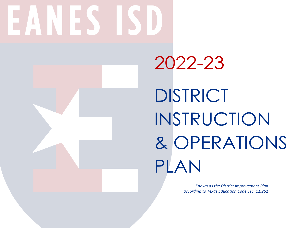# $\mathbb{Z}$ **INTER**

2022-23 DISTRICT INSTRUCTION & OPERATIONS PLAN

> *Known as the District Improvement Plan according to Texas Education Code Sec. 11.251*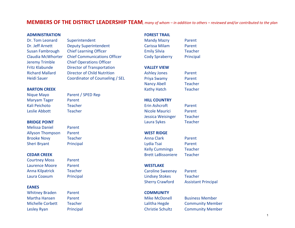## **MEMBERS OF THE DISTRICT LEADERSHIP TEAM** *, many of whom – in addition to others – reviewed and/or contributed to the plan*

#### **ADMINISTRATION FOREST TRAIL**

Dr. Tom Leonard Superintendent

# Dr. Jeff Arnett Deputy Superintendent Susan Fambrough Chief Learning Officer Claudia McWhorter Chief Communications Officer Jeremy Trimble Chief Operations Officer Fritz Klabunde Director of Transportation Richard Mallard Director of Child Nutrition Heidi Sauer Coordinator of Counseling / SEL

#### **BARTON CREEK**

Maryam Tager Parent Kali Peichoto Teacher Leslie Abbott Teacher

Melissa Daniel Parent Allyson Thompson Parent Brooke Novy Teacher Sheri Bryant Principal

Courtney Moss Parent Laurence Moore Parent Anna Kilpatrick Teacher Laura Coaxum Principal

#### **EANES**

Whitney Braden Parent Martha Hansen Parent Michelle Corbett Teacher Lesley Ryan Principal

Nique Mayo Parent / SPED Rep

- 
- 
- 

| <b>Mandy Mazry</b>    | Parent         |
|-----------------------|----------------|
| Carissa Milam         | Parent         |
| <b>Emily Silvia</b>   | <b>Teacher</b> |
| <b>Cody Spraberry</b> | Principal      |
|                       |                |

#### **VALLEY VIEW**

| <b>Ashley Jones</b> | Parent         |
|---------------------|----------------|
| Priya Swamy         | Parent         |
| <b>Nancy Abell</b>  | <b>Teacher</b> |
| <b>Kathy Hatch</b>  | <b>Teacher</b> |

### **HILL COUNTRY**

| Kali Peichoto       | Teacher | Erin Ashcroft     | Parent         |
|---------------------|---------|-------------------|----------------|
| Leslie Abbott       | Teacher | Nicole Maurici    | Parent         |
|                     |         | Jessica Weisinger | Teacher        |
| <b>BRIDGE POINT</b> |         | Laura Sykes       | <b>Teacher</b> |

#### **WEST RIDGE**

Anna Clark Parent Lydia Tsai Parent Kelly Cummings Teacher **CEDAR CREEK** Brett LaBissoniere Teacher

## **WESTLAKE**

Caroline Sweeney Parent Lindsey Stokes Teacher Sherry Crawford Assistant Principal

**COMMUNITY** 

Mike McDonell Business Member Lalitha Hegde Community Member Christie Schultz Community Member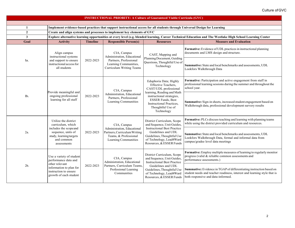| <b>INSTRUCTIONAL PRIORITY: A Culture of Guaranteed Viable Curricula (GVC)</b> |                                                                                                                                                                                                                                                                                                                      |                                                 |                                                                                                                                                     |                                                                                                                                                |                                                                                                                                                                                       |
|-------------------------------------------------------------------------------|----------------------------------------------------------------------------------------------------------------------------------------------------------------------------------------------------------------------------------------------------------------------------------------------------------------------|-------------------------------------------------|-----------------------------------------------------------------------------------------------------------------------------------------------------|------------------------------------------------------------------------------------------------------------------------------------------------|---------------------------------------------------------------------------------------------------------------------------------------------------------------------------------------|
|                                                                               |                                                                                                                                                                                                                                                                                                                      |                                                 |                                                                                                                                                     |                                                                                                                                                |                                                                                                                                                                                       |
| 1                                                                             |                                                                                                                                                                                                                                                                                                                      |                                                 |                                                                                                                                                     |                                                                                                                                                | Implement evidence-based practices that support instructional access for all students through Universal Design for Learning                                                           |
| $\mathbf{2}$                                                                  |                                                                                                                                                                                                                                                                                                                      |                                                 | Create and align systems and processes to implement key elements of GVC                                                                             |                                                                                                                                                |                                                                                                                                                                                       |
| $\mathbf{3}$                                                                  |                                                                                                                                                                                                                                                                                                                      |                                                 |                                                                                                                                                     |                                                                                                                                                | Explore alternative learning opportunities at every level (e.g. blended learning, Career Technical Education and The Westlake High School Learning Center                             |
| Goal                                                                          | <b>Activity</b>                                                                                                                                                                                                                                                                                                      | <b>Timeline</b>                                 | <b>Responsible Person(s)</b>                                                                                                                        | <b>Resources</b>                                                                                                                               | <b>Measure and Evaluation</b>                                                                                                                                                         |
|                                                                               | Align campus<br>instructional systems                                                                                                                                                                                                                                                                                |                                                 | CIA, Campus<br>Administration, Educational                                                                                                          | CAST, Mapping and                                                                                                                              | Formative: Evidence of UDL practices in instructional planning<br>documents and LMS design and structure.                                                                             |
| la.                                                                           | and support to ensure<br>instructional access for<br>all students                                                                                                                                                                                                                                                    | 2022-2023                                       | Partners, Professional<br>Learning Communities,<br>Curriculum Writing Teams                                                                         | Planning Document, Guiding<br>Questions, Thoughtful Use of<br>Technology                                                                       | Summative: State and local benchmarks and assessments, UDL<br>Lookfors Walkthrough Data                                                                                               |
|                                                                               | Effective Teachers,<br>CIA, Campus<br>Provide meaningful and<br>learning, Reading and Math<br>Administration, Educational<br>ongoing professional<br>$1b$ .<br>2022-2023<br>Partners, Professional<br>learning for all staff<br><b>ESSER Funds</b> , Best<br>Learning Communities<br>Thoughtful Use of<br>Technology | Eduphoria Data; Highly<br>CAST/UDL professional | Formative: Participation and active engagement from staff in<br>professional learning sessions during the summer and throughout the<br>school year. |                                                                                                                                                |                                                                                                                                                                                       |
|                                                                               |                                                                                                                                                                                                                                                                                                                      |                                                 | instructional strategies,<br><b>Instructional Practices,</b>                                                                                        | Summative: Sign-in sheets, increased student engagement based on<br>Walkthrough data, professional development survery results                 |                                                                                                                                                                                       |
|                                                                               | Utilize the district<br>curriculum, which                                                                                                                                                                                                                                                                            |                                                 | CIA, Campus                                                                                                                                         | District Curriculum, Scope<br>and Sequence, Unit Guides,                                                                                       | Formative: PLCs discuss teaching and learning with planning teams<br>while using the district provided curriculum and resources.                                                      |
| 2a.                                                                           | includes the scopeand<br>sequence, units of<br>study, learning targets<br>and common<br>assessments                                                                                                                                                                                                                  | 2022-2023                                       | Administration, Educational<br>Partners, Curriculum Writing<br>Teams, & Professional<br>Learning Communities                                        | <b>Instructional Best Practice</b><br>Guidelines and UDL<br>Guidelines, Thoughtful Use<br>of Technology, Lead4Ward<br>Resources, & ESSER Funds | Summative: State and local benchmarks and assessments, UDL<br>Lookfors Walkthrough Data, formal and informal data from<br>campus/gradee level data meetings                           |
| other relevant<br>2 <sub>b</sub>                                              | Use a variety of student<br>performance data and                                                                                                                                                                                                                                                                     |                                                 | CIA, Campus<br>Administration, Educational                                                                                                          | District Curriculum, Scope<br>and Sequence, Unit Guides,<br><b>Instructional Best Practice</b>                                                 | Formative: Employ multiple measures of learning to regularly monitor<br>progress (valid & reliable common assessments and<br>performance assessments.)                                |
|                                                                               | 2022-2023<br>information to plan for<br>instruction to ensure<br>growth of each student                                                                                                                                                                                                                              |                                                 | Partners, Curriculum Teams,<br>Professional Learning<br>Communities                                                                                 | Guidelines and UDL<br>Guidelines, Thoughtful Use<br>of Technology, Lead4Ward<br>Resources, & ESSER Funds                                       | Summative: Evidence in TGAP of differentiating instruction based on<br>student needs and teacher readiness, interest and learning style that is<br>both responsive and data-informed. |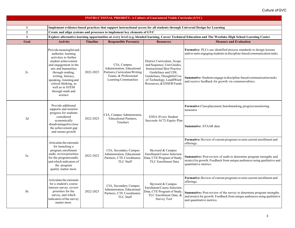|                                                                                                                                                                                        |                                                                                                                                                                                                                                      |                                                  | <b>INSTRUCTIONAL PRIORITY: A Culture of Guaranteed Viable Curricula (GVC)</b>                                               |                                                                                                                                                                                                            |                                                                                                                                                                                |  |  |  |
|----------------------------------------------------------------------------------------------------------------------------------------------------------------------------------------|--------------------------------------------------------------------------------------------------------------------------------------------------------------------------------------------------------------------------------------|--------------------------------------------------|-----------------------------------------------------------------------------------------------------------------------------|------------------------------------------------------------------------------------------------------------------------------------------------------------------------------------------------------------|--------------------------------------------------------------------------------------------------------------------------------------------------------------------------------|--|--|--|
|                                                                                                                                                                                        |                                                                                                                                                                                                                                      |                                                  |                                                                                                                             |                                                                                                                                                                                                            |                                                                                                                                                                                |  |  |  |
| 1                                                                                                                                                                                      | Implement evidence-based practices that support instructional access for all students through Universal Design for Learning                                                                                                          |                                                  |                                                                                                                             |                                                                                                                                                                                                            |                                                                                                                                                                                |  |  |  |
| $\overline{2}$                                                                                                                                                                         | Create and align systems and processes to implement key elements of GVC<br>Explore alternative learning opportunities at every level (e.g. blended learning, Career Technical Education and The Westlake High School Learning Center |                                                  |                                                                                                                             |                                                                                                                                                                                                            |                                                                                                                                                                                |  |  |  |
| $\mathbf{3}$                                                                                                                                                                           |                                                                                                                                                                                                                                      |                                                  |                                                                                                                             |                                                                                                                                                                                                            |                                                                                                                                                                                |  |  |  |
| Goal                                                                                                                                                                                   | <b>Activity</b>                                                                                                                                                                                                                      | <b>Timeline</b>                                  | <b>Responsible Person(s)</b>                                                                                                | <b>Resources</b>                                                                                                                                                                                           | <b>Measure and Evaluation</b>                                                                                                                                                  |  |  |  |
|                                                                                                                                                                                        | Provide meaningful and<br>authentic learning<br>activities to further                                                                                                                                                                |                                                  |                                                                                                                             |                                                                                                                                                                                                            | <b>Formative:</b> PLCs use identified process standards to design lessons<br>and/or units engaging students in discipline-based communication tasks.                           |  |  |  |
| 2c.                                                                                                                                                                                    | student achievement<br>and engagement in the<br>arts and humanities<br>through reading,<br>writing, literacy,<br>speaking, listening and<br>critical thinking, as<br>well as in STEM<br>through math and<br>science                  | 2022-2023                                        | CIA, Campus<br>Administration, Educational<br>Partners, Curriculum Writing<br>Teams, & Professional<br>Learning Communities | District Curriculum, Scope<br>and Sequence, Unit Guides,<br><b>Instructional Best Practice</b><br>Guidelines and UDL<br>Guidelines, Thoughtful Use<br>of Technology, Lead4Ward<br>Resources, & ESSER Funds | Summative: Students engage in discipline-based communication tasks<br>and receive feedback for growth via common rubrics.                                                      |  |  |  |
|                                                                                                                                                                                        | Provide additional<br>supports and monitor<br>progress for students                                                                                                                                                                  |                                                  | CIA, Campus Adminstraton,                                                                                                   |                                                                                                                                                                                                            | Formative: Class placement, benchmarking, progress monitoring<br>measures                                                                                                      |  |  |  |
| 2d                                                                                                                                                                                     | considered<br><b>Educational Partners,</b><br>2022-2023<br>economically<br>Teachers<br>disadvantaged to close<br>the achievement gap<br>and ensure growth                                                                            | ESSA (Every Student<br>Succeeds ACT) Equity Plan | Summative: STAAR data                                                                                                       |                                                                                                                                                                                                            |                                                                                                                                                                                |  |  |  |
|                                                                                                                                                                                        | Articulate the rationale                                                                                                                                                                                                             |                                                  |                                                                                                                             |                                                                                                                                                                                                            | Formative: Review of current programs to note current enrollment and<br>offerings.                                                                                             |  |  |  |
| 3a.                                                                                                                                                                                    | for launching a<br>program enrollment<br>audit, reviewpriorities<br>for the programs audit,<br>and which indicators of<br>the program<br>quality matter most.                                                                        | 2022-2023                                        | CIA, Secondary Campus<br>Administration, Educational<br>Partners, CTE Coordinator,<br><b>TLC Staff</b>                      | Skyward & Campus<br>Enrollment/Course Selection<br>Data, CTE Program of Study,<br><b>TLC</b> Enrollment Data                                                                                               | <b>Summative:</b> Post-review of audit to determine program strengths and<br>area(s) for growth. Feedback from unique audiences using qualitative and<br>quantitative metrics. |  |  |  |
| Articulate the rationale<br>for a student's course<br>interest survey, review<br>priorities for the<br>3 <sub>b</sub><br>survey, and which<br>indicators of the survey<br>matter most. |                                                                                                                                                                                                                                      |                                                  | Skyward & Campus                                                                                                            | <b>Formative:</b> Review of current programs to note current enrollment and<br>offerings.                                                                                                                  |                                                                                                                                                                                |  |  |  |
|                                                                                                                                                                                        | 2022-2023                                                                                                                                                                                                                            |                                                  | CIA, Secondary Campus<br>Administration, Educational<br>Partners, CTE Coordinator,<br><b>TLC Staff</b>                      | Enrollment/Course Selection<br>Data, CTE Program of Study,<br>TLC Enrollment Data, &<br><b>Survey Tool</b>                                                                                                 | Summative: Post-review of the survey to determine program strengths<br>and area(s) for growth. Feedback from unique audiences using qualitative<br>and quantitative metrics.   |  |  |  |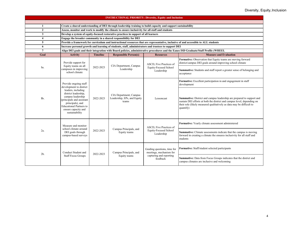| <b>INSTRUCTIONAL PRIORITY: Diversity, Equity and Inclusion</b> |                                                                                                                                                                                             |                                                                                     |                                                                                                               |                                                                                     |                                                                                                                                                                                                                                        |  |  |  |
|----------------------------------------------------------------|---------------------------------------------------------------------------------------------------------------------------------------------------------------------------------------------|-------------------------------------------------------------------------------------|---------------------------------------------------------------------------------------------------------------|-------------------------------------------------------------------------------------|----------------------------------------------------------------------------------------------------------------------------------------------------------------------------------------------------------------------------------------|--|--|--|
|                                                                |                                                                                                                                                                                             |                                                                                     |                                                                                                               |                                                                                     |                                                                                                                                                                                                                                        |  |  |  |
| 1                                                              |                                                                                                                                                                                             |                                                                                     | Create a shared understanding of DEI through leadership training to build capacity and support sustainability |                                                                                     |                                                                                                                                                                                                                                        |  |  |  |
| $\overline{2}$                                                 | Assess, monitor and work to modify the climate to ensure inclusivity for all staff and students                                                                                             |                                                                                     |                                                                                                               |                                                                                     |                                                                                                                                                                                                                                        |  |  |  |
| 3                                                              |                                                                                                                                                                                             | Develop a system of equity-focused restorative practices in support of all learners |                                                                                                               |                                                                                     |                                                                                                                                                                                                                                        |  |  |  |
| $\overline{\mathbf{4}}$                                        |                                                                                                                                                                                             |                                                                                     | Engage the broader community in a shared responsibility for DEI                                               |                                                                                     |                                                                                                                                                                                                                                        |  |  |  |
| 5                                                              |                                                                                                                                                                                             |                                                                                     |                                                                                                               |                                                                                     | Provide a framework for curriculum and instructional resources that are representative, inclusive of and accessible to ALL students                                                                                                    |  |  |  |
| 6                                                              |                                                                                                                                                                                             |                                                                                     | Increase personal growth and learning of students, staff, administrators and trustees to support DEI          |                                                                                     |                                                                                                                                                                                                                                        |  |  |  |
| $\overline{7}$                                                 |                                                                                                                                                                                             |                                                                                     |                                                                                                               |                                                                                     | Align DEI goals and their integration with Board policies, administrative procedures and the Eanes ISD Graduate/Staff Profile (WHEEL                                                                                                   |  |  |  |
| Goal                                                           | <b>Activity</b>                                                                                                                                                                             | <b>Timeline</b>                                                                     | <b>Responsible Person(s)</b>                                                                                  | <b>Resources</b>                                                                    | <b>Measure and Evaluation</b>                                                                                                                                                                                                          |  |  |  |
|                                                                | Provide support for<br>Equity teams on all                                                                                                                                                  |                                                                                     |                                                                                                               | ASCD, Five Practices of                                                             | Formative: Observation that Equity teams are moving forward<br>district/campus DEI goals around improving school climate                                                                                                               |  |  |  |
| la.                                                            | campuses in improving<br>school climate                                                                                                                                                     | 2022-2023                                                                           | CIA Department, Campus<br><b>Equity-Focused School</b><br>Leadership<br>Leadership                            | Summative: Students and staff report a greater sense of belonging and<br>acceptance |                                                                                                                                                                                                                                        |  |  |  |
|                                                                | Provide ongoing staff<br>development to district                                                                                                                                            |                                                                                     |                                                                                                               | Formative: Excellent participation in and engagement in staff<br>development        |                                                                                                                                                                                                                                        |  |  |  |
| lb.                                                            | leaders, including<br>district leadership,<br>campus leadership<br>(principals and assistant<br>principals), and<br><b>Educational Partners to</b><br>ensure capacity and<br>sustainability | 2022-2023                                                                           | CIA Department; Campus<br>Leadership, EPs, and Equity<br>teams                                                | Lessoncast                                                                          | Summative: District and campus leadership are prepared to support and<br>sustain DEI efforts at both the district and campus level, depending on<br>their role (likely measured qualitatively as data may be difficult to<br>quantify) |  |  |  |
|                                                                | Measure and monitor                                                                                                                                                                         |                                                                                     |                                                                                                               | ASCD, Five Practices of                                                             | Formative: Yearly climate assessment administered                                                                                                                                                                                      |  |  |  |
| 2a.                                                            | school climate around<br>DEI goals through<br>campus-based surveys                                                                                                                          | 2022-2023                                                                           | Equity teams                                                                                                  | Campus Principals, and<br>Equity-Focused School<br>Leadership                       | <b>Summative:</b> Climate assessments indicate that the campus is moving<br>forward in creating a climate the ensures inclusivity for all staff and<br>students                                                                        |  |  |  |
|                                                                | Conduct Student and                                                                                                                                                                         |                                                                                     | Campus Principals, and                                                                                        | Guiding questions, time for<br>meetings, mechanism for                              | Formative: Staff/student selected participants                                                                                                                                                                                         |  |  |  |
| 2 <sub>b</sub>                                                 | <b>Staff Focus Groups</b>                                                                                                                                                                   | 2022-2023<br>Equity teams                                                           |                                                                                                               | capturing and reporting<br>feedback                                                 | Summative: Data from Focus Groups indicates that the district and<br>campus climates are inclusive and welcoming                                                                                                                       |  |  |  |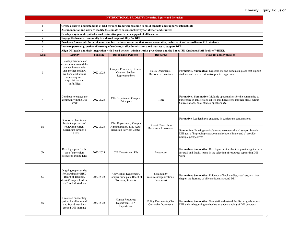| <b>INSTRUCTIONAL PRIORITY: Diversity, Equity and Inclusion</b> |                                                                                                                                                                                                                  |                 |                                                                                                      |                                                      |                                                                                                                                                                                                                                     |  |  |  |
|----------------------------------------------------------------|------------------------------------------------------------------------------------------------------------------------------------------------------------------------------------------------------------------|-----------------|------------------------------------------------------------------------------------------------------|------------------------------------------------------|-------------------------------------------------------------------------------------------------------------------------------------------------------------------------------------------------------------------------------------|--|--|--|
|                                                                |                                                                                                                                                                                                                  |                 |                                                                                                      |                                                      |                                                                                                                                                                                                                                     |  |  |  |
| 1<br>$\overline{2}$                                            | Create a shared understanding of DEI through leadership training to build capacity and support sustainability<br>Assess, monitor and work to modify the climate to ensure inclusivity for all staff and students |                 |                                                                                                      |                                                      |                                                                                                                                                                                                                                     |  |  |  |
| 3                                                              |                                                                                                                                                                                                                  |                 | Develop a system of equity-focused restorative practices in support of all learners                  |                                                      |                                                                                                                                                                                                                                     |  |  |  |
| $\overline{\mathbf{4}}$                                        |                                                                                                                                                                                                                  |                 | Engage the broader community in a shared responsibility for DEI                                      |                                                      |                                                                                                                                                                                                                                     |  |  |  |
| 5                                                              |                                                                                                                                                                                                                  |                 |                                                                                                      |                                                      | Provide a framework for curriculum and instructional resources that are representative, inclusive of and accessible to ALL students                                                                                                 |  |  |  |
| 6                                                              |                                                                                                                                                                                                                  |                 | Increase personal growth and learning of students, staff, administrators and trustees to support DEI |                                                      |                                                                                                                                                                                                                                     |  |  |  |
| $\overline{7}$                                                 |                                                                                                                                                                                                                  |                 |                                                                                                      |                                                      | Align DEI goals and their integration with Board policies, administrative procedures and the Eanes ISD Graduate/Staff Profile (WHEEL                                                                                                |  |  |  |
| Goal                                                           | <b>Activity</b>                                                                                                                                                                                                  | <b>Timeline</b> | <b>Responsible Person(s)</b>                                                                         | <b>Resources</b>                                     | <b>Measure and Evaluation</b>                                                                                                                                                                                                       |  |  |  |
| 3                                                              | Development of clear<br>expectations around the<br>way we interact with<br>one another and how<br>we handle situations<br>where any such<br>expectations are<br>unfulfilled                                      | 2022-2023       | Campus Principals, General<br>Counsel, Student<br>Representatives                                    | Policy Documents,<br>Restorative practices           | Formative / Summative: Expectations and systems in place that support<br>students and have a restorative practice approach                                                                                                          |  |  |  |
| 4                                                              | Continue to engage the<br>community in the DEI<br>work                                                                                                                                                           | 2022-2023       | CIA Department, Campus<br>Principals                                                                 | Time                                                 | Formative / Summative: Multiple opportunities for the community to<br>participate in DEI-related topics and discussions through Small Group<br>Conversations, book studies, speakers, etc.                                          |  |  |  |
| 5a.                                                            | Develop a plan for and<br>begin the process of<br>reviewing current<br>curriculum through a<br>DEI lens                                                                                                          | 2022-2023       | CIA Department, Campus<br>Administration, EPs, Adult<br><b>Transition Services Center</b>            | District Curriculum<br>Resources, Lessoncast         | Formative: Leadership is engaging in curriculum conversations<br>Summative: Existing curriculum and resources that a) support broader<br>DEI goal of improving classroom and school climate and b) provide<br>multiple perspectives |  |  |  |
| 5b.                                                            | Develop a plan for the<br>use of curriculum<br>resources around DEI                                                                                                                                              | 2022-2023       | CIA Department, EPs                                                                                  | Lessoncast                                           | Formative / Summative: Development of a plan that provides guidelines<br>for staff and Equity teams in the selection of resources supporting DEI<br>work                                                                            |  |  |  |
| 6a.                                                            | Ongoing opportunities<br>for learning for EISD<br>Board of Trustees,<br>district/campus leaders,<br>staff, and all students                                                                                      | 2022-2023       | Curriculum Department,<br>Campus Principals, Board of<br>Trustees, Students                          | Community<br>resources/organizations,<br>Lessoncast  | Formative / Summative: Evidence of book studies, speakers, etc., that<br>deepen the learning of all constituents around DEI                                                                                                         |  |  |  |
| 6b.                                                            | Create an onboarding<br>system for all new staff<br>and Board members<br>around DEI learning                                                                                                                     | 2022-2023       | Human Resources<br>Department, CIA<br>Department                                                     | Policy Documents, CIA<br><b>Curricular Documents</b> | Formative / Summative: New staff understand the district goals around<br>DEI and are beginning to develop an understanding of DEI concepts                                                                                          |  |  |  |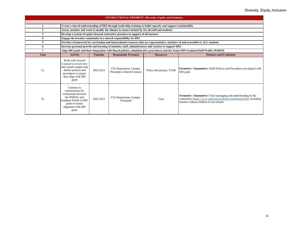|                |                                                                                                                                                       |                 | <b>INSTRUCTIONAL PRIORITY: Diversity, Equity and Inclusion</b>                                                |                        |                                                                                                                                                                                                |
|----------------|-------------------------------------------------------------------------------------------------------------------------------------------------------|-----------------|---------------------------------------------------------------------------------------------------------------|------------------------|------------------------------------------------------------------------------------------------------------------------------------------------------------------------------------------------|
|                |                                                                                                                                                       |                 |                                                                                                               |                        |                                                                                                                                                                                                |
|                |                                                                                                                                                       |                 | Create a shared understanding of DEI through leadership training to build capacity and support sustainability |                        |                                                                                                                                                                                                |
| $\overline{2}$ |                                                                                                                                                       |                 | Assess, monitor and work to modify the climate to ensure inclusivity for all staff and students               |                        |                                                                                                                                                                                                |
| 3              |                                                                                                                                                       |                 | Develop a system of equity-focused restorative practices in support of all learners                           |                        |                                                                                                                                                                                                |
| 4              |                                                                                                                                                       |                 | Engage the broader community in a shared responsibility for DEI                                               |                        |                                                                                                                                                                                                |
| 5              |                                                                                                                                                       |                 |                                                                                                               |                        | Provide a framework for curriculum and instructional resources that are representative, inclusive of and accessible to ALL students                                                            |
| 6              |                                                                                                                                                       |                 | Increase personal growth and learning of students, staff, administrators and trustees to support DEI          |                        |                                                                                                                                                                                                |
|                |                                                                                                                                                       |                 |                                                                                                               |                        | Align DEI goals and their integration with Board policies, administrative procedures and the Eanes ISD Graduate/Staff Profile (WHEEL                                                           |
| Goal           | <b>Activity</b>                                                                                                                                       | <b>Timeline</b> | <b>Responsible Person(s)</b>                                                                                  | <b>Resources</b>       | <b>Measure and Evaluation</b>                                                                                                                                                                  |
| 7a             | Work with General<br>Counsel to review new<br>and current campus and<br>district policies and<br>procedures to ensure<br>they align with DEI<br>goals | 2022-2023       | CIA Department, Campus<br>Principals, General Counsel                                                         | Policy Documents, TASB | <b>Formative / Summative:</b> EISD Policies and Procedures are aligned with<br>DEI goals                                                                                                       |
| 7b.            | Continue to<br>communicate the<br>connections between<br>the WHEEL and<br>Graduate Profile to DEI<br>goals to ensure<br>alignment with DEI<br>goals   | 2022-2023       | CIA Department, Campus<br>Principals                                                                          | Time                   | <b>Formative / Summative:</b> Clear messaging and understanding by the<br>community (https://www.eanesisd.net/district/graduateprofile), including<br>families without children in our schools |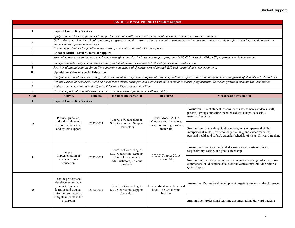| <b>INSTRUCTIONAL PRIORITY: Student Support</b> |                                                                                                                 |                 |                                                                                                                                    |                                                                                                                                   |                                                                                                                                                                                                                    |  |  |
|------------------------------------------------|-----------------------------------------------------------------------------------------------------------------|-----------------|------------------------------------------------------------------------------------------------------------------------------------|-----------------------------------------------------------------------------------------------------------------------------------|--------------------------------------------------------------------------------------------------------------------------------------------------------------------------------------------------------------------|--|--|
|                                                |                                                                                                                 |                 |                                                                                                                                    |                                                                                                                                   |                                                                                                                                                                                                                    |  |  |
| I                                              | <b>Expand Counseling Services</b>                                                                               |                 |                                                                                                                                    |                                                                                                                                   |                                                                                                                                                                                                                    |  |  |
|                                                |                                                                                                                 |                 | Apply evidence-based approaches to support the mental health, social well-being, resilience and academic growth of all students    |                                                                                                                                   |                                                                                                                                                                                                                    |  |  |
| $\overline{2}$                                 | and access to supports and services                                                                             |                 |                                                                                                                                    |                                                                                                                                   | Utilize the comprehensive school counseling program, curricular resources and community partnerships to increase awareness of student safety, including suicide prevention                                         |  |  |
| 3                                              |                                                                                                                 |                 | Expand opportunities for families in the areas of academic and mental health support                                               |                                                                                                                                   |                                                                                                                                                                                                                    |  |  |
| $\mathbf{I}$                                   | <b>Enhance Multi-Tiered Systems of Support</b>                                                                  |                 |                                                                                                                                    |                                                                                                                                   |                                                                                                                                                                                                                    |  |  |
|                                                |                                                                                                                 |                 |                                                                                                                                    |                                                                                                                                   | Streamline processes to increase consistency throughout the district in student support programs (SST, RT!, Dyslexia, §504, ESL) to promote early intervention                                                     |  |  |
| $\overline{2}$                                 |                                                                                                                 |                 | Incorporate data analysis into new screening and identification measures to better align instruction and services                  |                                                                                                                                   |                                                                                                                                                                                                                    |  |  |
| $\mathfrak{Z}$                                 |                                                                                                                 |                 | Provide additional training for staff in supporting students with dyslexia, served through ESL and identified as twice exceptional |                                                                                                                                   |                                                                                                                                                                                                                    |  |  |
| Ш                                              | <b>Uphold the Value of Special Education</b>                                                                    |                 |                                                                                                                                    |                                                                                                                                   |                                                                                                                                                                                                                    |  |  |
|                                                |                                                                                                                 |                 |                                                                                                                                    |                                                                                                                                   | Analyze and allocate resources, staff and instructional delivery models to promote efficiency within the special education program to ensure growth of students with disabilities                                  |  |  |
| 2                                              |                                                                                                                 |                 |                                                                                                                                    |                                                                                                                                   | Expand curricular resources, research-based instructional strategies and assessment tools to enhance learning opportunities to ensure growth of students with disabilities                                         |  |  |
| $\overline{\mathbf{3}}$                        |                                                                                                                 |                 | Address recommendations in the Special Education Department Action Plan                                                            |                                                                                                                                   |                                                                                                                                                                                                                    |  |  |
| $\overline{4}$                                 |                                                                                                                 |                 | Provide opportunities in all extra and co-curricular activities for students with disabilities                                     |                                                                                                                                   |                                                                                                                                                                                                                    |  |  |
| Goal                                           | <b>Activity</b>                                                                                                 | <b>Timeline</b> | <b>Responsible Person(s)</b>                                                                                                       | <b>Resources</b>                                                                                                                  | <b>Measure and Evaluation</b>                                                                                                                                                                                      |  |  |
| T                                              | <b>Expand Counseling Services</b>                                                                               |                 |                                                                                                                                    |                                                                                                                                   |                                                                                                                                                                                                                    |  |  |
| $\rm{a}$                                       | Provide guidance,<br>individual planning,                                                                       | 2022-2023       | Coord. of Counseling $&$                                                                                                           | Texas Model, ASCA<br>Mindsets and Behaviors.<br>SEL, Counselors, Support<br>varied counseling resource<br>Counselors<br>materials | Formative: Direct student lessons, needs assessment (students, staff,<br>parents), group counseling, need-based workshops, accessible<br>materials/resources                                                       |  |  |
|                                                | responsive services,<br>and system support                                                                      |                 |                                                                                                                                    |                                                                                                                                   | Summative: Counseling Guidance Program (intrapersonal skills,<br>interpersonal skills, post-secondary planning and career readiness,<br>personal health and safety), calendar/schedule of visits, Skyward tracking |  |  |
|                                                | Support<br>implementation of                                                                                    |                 | Coord. of Counseling &<br>SEL, Counselors, Support                                                                                 |                                                                                                                                   | Formative: Direct and imbedded lessons about trustworthiness,<br>responsibility, caring, and good citizenship                                                                                                      |  |  |
| $\mathbf b$                                    | character traits<br>education                                                                                   | 2022-2023       | 9 TAC Chapter 20, A;<br>Counselors, Campus<br>Second Step<br>Administrators, Campus<br>teachers                                    |                                                                                                                                   | <b>Summative:</b> Participation in discussion and/or learning tasks that show<br>comprehension; discipline data, restorative meetings; bullying reports;<br>Quick Report                                           |  |  |
| $\mathbf c$                                    | Provide professional<br>development on how<br>anxiety impacts<br>learning and trauma-<br>informed strategies to | 2022-2023       | Coord. of Counseling &<br>SEL, Counselors, Support<br>Counselors                                                                   | Jessica Minahan webinar and<br>book, The Child Mind<br>Institute                                                                  | Formative: Professional development targeting anxiety in the classroom                                                                                                                                             |  |  |
|                                                | mitigate impacts in the<br>classroom                                                                            |                 |                                                                                                                                    | Summative: Professional learning documentation; Skyward tracking                                                                  |                                                                                                                                                                                                                    |  |  |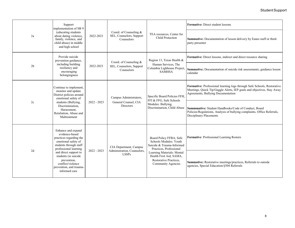| Support<br>2a                                                                                                                                                                                             | implementation of SB 9                                                                                                                                                                                                                                                                                                                                                     |                                                                                                           |                                                                  |                                                                                                                                                                                         | <b>Formative:</b> Direct student lessons                                                                                                                           |
|-----------------------------------------------------------------------------------------------------------------------------------------------------------------------------------------------------------|----------------------------------------------------------------------------------------------------------------------------------------------------------------------------------------------------------------------------------------------------------------------------------------------------------------------------------------------------------------------------|-----------------------------------------------------------------------------------------------------------|------------------------------------------------------------------|-----------------------------------------------------------------------------------------------------------------------------------------------------------------------------------------|--------------------------------------------------------------------------------------------------------------------------------------------------------------------|
|                                                                                                                                                                                                           | (educating students<br>about dating violence,<br>family, violence, and<br>child abuse) in middle<br>and high school                                                                                                                                                                                                                                                        | 2022-2023                                                                                                 | Coord. of Counseling &<br>SEL, Counselors, Support<br>Counselors | TEA resources, Center for<br><b>Child Protection</b>                                                                                                                                    | Summative: Documentation of lesson delivery by Eanes staff or third-<br>party presenter                                                                            |
|                                                                                                                                                                                                           | Provide suicide<br>prevention guidance,                                                                                                                                                                                                                                                                                                                                    |                                                                                                           | Coord. of Counseling &                                           | Region 13, Texas Health &                                                                                                                                                               | Formative: Direct lessons, indirect and direct resource sharing                                                                                                    |
| 2 <sub>b</sub>                                                                                                                                                                                            | including building<br>resiliency and<br>encouraging<br>belongingness                                                                                                                                                                                                                                                                                                       | 2022-2023                                                                                                 | SEL, Counselors, Support<br>Counselors                           | Human Services, The<br>Columbia Lighhouse Project,<br><b>SAMHSA</b>                                                                                                                     | Summative: Documentation of suicide risk assessments; guidance lesson<br>calendar                                                                                  |
| Continue to implement,<br>monitor and update<br>District policies around<br>emotional safety of<br>students (Bullying,<br>2c<br>Discriminiation.<br>Harassment,<br>Retaliation, Abuse and<br>Maltreatment |                                                                                                                                                                                                                                                                                                                                                                            | Campus Administrators,                                                                                    | Specific Board Policies FFH,<br>FFI & FFG, Safe Schools          | Formative: Professional learning logs through Safe Schools, Restorative<br>Meetings, Quick Tip/Gaggle Alerts, IEP goals and objectives, Stay Away<br>Agreements, Bullying Documentation |                                                                                                                                                                    |
|                                                                                                                                                                                                           |                                                                                                                                                                                                                                                                                                                                                                            | $2022 - 2023$                                                                                             | General Counsel, CIA<br>Directors                                | Modules: Bullying,<br>Discrimination, Child Abuse                                                                                                                                       | Summmative: Student Handbooks/Code of Conduct, Board<br>Policies/Regulations, Analysis of bullying complaints, Office Referrals,<br><b>Disciplinary Placements</b> |
|                                                                                                                                                                                                           | Enhance and expand<br>evidence-based<br>practices regarding the<br>emotional safety of<br>students through staff<br>CIA Department, Campus<br>professional learning<br>Administration, Counselors,<br>$2022 - 2023$<br>2d<br>and direct support to<br><b>LSSPs</b><br>students (ie suicide<br>prevention,<br>conflict/violence<br>prevention, and trauma-<br>informed care | Board Policy FFBA, Safe<br>Schools Modules: Youth<br>Suicide & Trauma-Informed<br>Practices, Professional | Formative: Professional Learning Rosters                         |                                                                                                                                                                                         |                                                                                                                                                                    |
|                                                                                                                                                                                                           |                                                                                                                                                                                                                                                                                                                                                                            |                                                                                                           |                                                                  | Learning Materials: Mental<br>Health First Aid, SAMA,<br>Restorative Practices,<br><b>Community Agencies</b>                                                                            | Summative: Restorative meetings/practices, Referrals to outside<br>agencies, Special Education/§504 Referrals                                                      |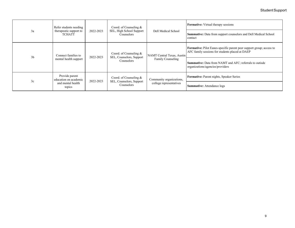| 3a             | Refer students needing<br>therapeutic support to<br><b>TCHATT</b>      | 2022-2023 | Coord. of Counseling &<br>SEL, High School Support<br><b>Counselors</b> | Dell Medical School                                    | <b>Formative:</b> Virtual therapy sessions                                                                              |
|----------------|------------------------------------------------------------------------|-----------|-------------------------------------------------------------------------|--------------------------------------------------------|-------------------------------------------------------------------------------------------------------------------------|
|                |                                                                        |           |                                                                         |                                                        | Summative: Data from support counselors and Dell Medical School<br>contact                                              |
| 3 <sub>b</sub> | Connect families to                                                    | 2022-2023 | Coord. of Counseling &<br>SEL, Counselors, Support<br><b>Counselors</b> | NAMT Central Texas, Austin<br><b>Family Counseling</b> | Formative: Pilot Eanes-specific parent peer support group; access to<br>AFC family sessions for students placed at DAEP |
|                | mental health support                                                  |           |                                                                         |                                                        | <b>Summative:</b> Data from NAMT and AFC; referrals to outisde<br>organizations/agencies/providers                      |
| 3c             | Provide parent<br>education on academic<br>and mental health<br>topics | 2022-2023 | Coord. of Counseling &<br>SEL, Counselors, Support<br><b>Counselors</b> | Community organizations,<br>college representatives    | Formative: Parent nights, Speaker Series                                                                                |
|                |                                                                        |           |                                                                         |                                                        | <b>Summative:</b> Attendance logs                                                                                       |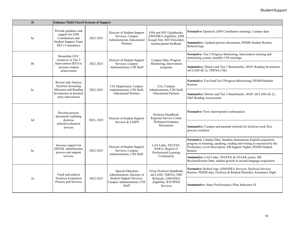| $\mathbf{I}$   |                                                                                                                              | <b>Enhance Multi-Tiered Systems of Support</b>          |                                                                  |                                                                          |                                                                                                                                                                                                                           |  |  |
|----------------|------------------------------------------------------------------------------------------------------------------------------|---------------------------------------------------------|------------------------------------------------------------------|--------------------------------------------------------------------------|---------------------------------------------------------------------------------------------------------------------------------------------------------------------------------------------------------------------------|--|--|
| la             | Provide guidance and<br>Director of Student Support<br>support for §504<br>Services, Campus<br>Coordinators and<br>2022-2023 | §504 and SST Guidebooks,<br>§504/IDEA eligibility, §504 | Formative: Quarterly §504 Coordinator meetings, Campus data      |                                                                          |                                                                                                                                                                                                                           |  |  |
|                | <b>Student Support Team</b><br>SST) Committees                                                                               |                                                         | Administration, Educational<br>Partners                          | Google Site, SST Flowchart,<br>teacher/parent feedback                   | Summative: Updated process documents, PEIMS Student Rosters,<br>Referral logs                                                                                                                                             |  |  |
|                | Streamline GVC<br>resources in Tier 2                                                                                        |                                                         | Director of Student Support                                      | Campus Data, Progress                                                    | Formative: Tier 2 Progress Monitoring, Intervention tracking and<br>monitoring system, monthly CSS meetings                                                                                                               |  |  |
| 1 <sub>b</sub> | Intervention (RTI) to<br>increase student<br>achievement                                                                     | 2022-2023                                               | Services, Campus<br>Administration, CSS Staff                    | Monitoring, Intervention<br>programs                                     | Summative: District and Tier 2 Benchmarks, MAP, Reading Inventories:<br>mCLASS (K-2), TMFSA (7th)                                                                                                                         |  |  |
|                | Review and Analyze<br>Dyslexia Screening                                                                                     |                                                         | CIA Department, Campus                                           | CIA, Campus<br>Administration, CSS Staff,<br><b>Educational Partners</b> | Formative: Tier 1 and Tier 2 Progress Monitoring, PEIMS Student<br>Rosters                                                                                                                                                |  |  |
| 1c             | Measures and Reading<br>Inventorties to promote<br>early intervention                                                        | 2022-2023                                               | Administration, CSS Staff,<br><b>Educational Partners</b>        |                                                                          | Summative: District and Tier 2 Benchmarks, MAP, mCLASS (K-2),<br>F&P Reading Assessments                                                                                                                                  |  |  |
| 1 <sub>d</sub> | Develop process<br>documents outlining<br>Director of Student Support                                                        | Dyslexia Handbook,<br>Regional Service Center           | <b>Formative:</b> Flow chart/narrative information               |                                                                          |                                                                                                                                                                                                                           |  |  |
|                | dysleixa<br>referral/evaluation<br>process                                                                                   |                                                         | 2022-2023<br>Webinars/Guidance<br>Services & LSSPS<br>Documents  |                                                                          | Summative: Campus and parental referrals for dyslexia work flow<br>process evalution                                                                                                                                      |  |  |
| 1e             | Increase support for<br>EB/ESL identification<br>process and support                                                         | 2022-2023                                               | Director of Student Support<br>Services, Campus                  | LAS Links, TELPAS,<br>IOWA, Region 13<br>Professional Learning           | Formative: Campus Data, Students demonstrate English acquisition<br>progress in listening, speaking, reading and writing as measured by the<br>Proficiency Level Descriptors, EB Support Nights, PEIMS Student<br>Rosters |  |  |
|                | services                                                                                                                     |                                                         | Administration, CSS Staff,                                       | Community                                                                | Summative: LAS Links, TELPAS, & STAAR scores; EB<br>Reclassification Data, student growth in second language acquisition                                                                                                  |  |  |
|                | Track and analyze                                                                                                            |                                                         | Special Education<br>Administration, Director of                 | Texas Dyslexia Handbook,<br>mCLASS, TMFSA, FIIE                          | Formative: Referal logs, §504/IDEA Services, Dyslexia Services<br>Rosters, PEIMS data, Dyslexia & Related Disorders Awareness Night                                                                                       |  |  |
| 2a             | Dyslexia Evaluation<br>Process and Services                                                                                  | 2022-2023                                               | Student Support Services,<br>Campus Administration, CSS<br>Staff | Referrals, §504/IDEA<br>eligibility, RTI/SPED<br>Services                | <b>Summative:</b> State Performance Plan Indicator 11                                                                                                                                                                     |  |  |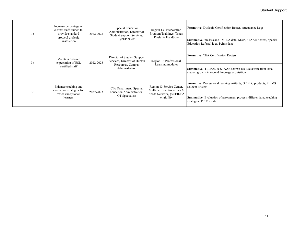| 3a             | Increase percentage of<br>current staff trained to<br>provide standard<br>protocol dyslexia<br>instruction | 2022-2023 | Special Education<br>Administration, Director of<br>Student Support Services,<br><b>SPED Staff</b> | Region 13- Intervention<br>Program Trainings, Texas<br>Dyslexia Handbook                            | <b>Formative:</b> Dyslexia Certification Roster, Attendance Logs                                             |
|----------------|------------------------------------------------------------------------------------------------------------|-----------|----------------------------------------------------------------------------------------------------|-----------------------------------------------------------------------------------------------------|--------------------------------------------------------------------------------------------------------------|
|                |                                                                                                            |           |                                                                                                    |                                                                                                     | <b>Summative:</b> mClass and TMFSA data, MAP, STAAR Scores, Special<br>Education Referral logs, Peims data   |
| 3 <sub>b</sub> | Maintain distrirct<br>expectation of ESL<br>certified staff                                                | 2022-2023 | Director of Student Support<br>Services, Director of Human<br>Resources, Campus<br>Administration  | Region 13 Professional<br>Learning modules                                                          | <b>Formative: TEA Certification Rosters</b>                                                                  |
|                |                                                                                                            |           |                                                                                                    |                                                                                                     | Summative: TELPAS & STAAR scores; EB Reclassification Data,<br>student growth in second language acquisition |
| 3c             | Enhance teaching and<br>evaluation strategies for<br>twice exceptional<br>learners                         | 2022-2023 | CIA Department, Special<br>Education Administration,<br>GT Specialists                             | Region 13 Service Center,<br>Multiple Exceptionalities &<br>Needs Network, §504/IDEA<br>eligibility | Formative: Professional learning artifacts, GT PLC products, PEIMS<br><b>Student Rosters</b>                 |
|                |                                                                                                            |           |                                                                                                    |                                                                                                     | Summative: Evaluation of assessment process; differentiated teaching<br>strategies; PEIMS data               |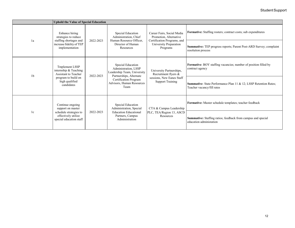|                | <b>Uphold the Value of Special Education</b>                                                                                  |           |                                                                                                                                                                   |                                                                                                                           |                                                                                                |  |  |  |
|----------------|-------------------------------------------------------------------------------------------------------------------------------|-----------|-------------------------------------------------------------------------------------------------------------------------------------------------------------------|---------------------------------------------------------------------------------------------------------------------------|------------------------------------------------------------------------------------------------|--|--|--|
| 1a             | Enhance hiring<br>strategies to reduce<br>staffing shortages and<br>increase fidelity of TEP<br>implementation                | 2022-2023 | Special Education<br>Administration, Chief<br>Human Resource Officer,<br>Director of Human<br>Resources                                                           | Career Fairs, Social Media<br>Promotion, Alternative<br>Certification Programs, and<br>University Preparation<br>Programs | Formative: Staffing rosters; contract costs; sub expenditures                                  |  |  |  |
|                |                                                                                                                               |           |                                                                                                                                                                   |                                                                                                                           | Summative: TEP progress reports; Parent Post-ARD Survey; complaint<br>resolution process       |  |  |  |
| 1 <sub>b</sub> | <b>Tmplement LSSP</b><br>internship & Teaching<br>Assistant to Teacher<br>program to build on<br>high qualified<br>candidates | 2022-2023 | Special Education<br>Administration, LSSP<br>Leadership Team, University<br>Partnerships, Alternate<br>Certification Program<br>Advisors, Human Resources<br>Team | University Partnerships,<br>Recruitment flyers &<br>sessions, New Eanes Staff<br><b>Support Training</b>                  | Formative: BOY staffing vacancies; number of position filled by<br>contract agency             |  |  |  |
|                |                                                                                                                               |           |                                                                                                                                                                   |                                                                                                                           | Summative: State Performance Plan 11 & 12; LSSP Retention Rates;<br>Teacher vacancy/fill rates |  |  |  |
| 1c             | Continue ongoing<br>support on master                                                                                         |           | Special Education<br>Administration, Special                                                                                                                      | CTA & Campus Leadership                                                                                                   | Formative: Master schedule templates; teacher feedback                                         |  |  |  |
|                | 2022-2023<br>schedule strategies to<br>effectively utilize<br>special education staff                                         |           | <b>Education Educational</b><br>Partners, Campus<br>Administration                                                                                                | PLC, TEA/Region 13, ASCD<br>Resources                                                                                     | Summative: Staffing ratios; feedback from campus and special<br>education administation        |  |  |  |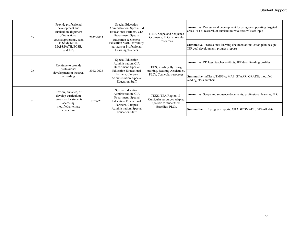## Student Support

| 2a             | Provide professional<br>development and<br>curriculum alignment<br>of transitional                                  | 2022-2023 | Special Education<br>Administration, Special Ed<br><b>Educational Partners, CIA</b><br>Department, Special<br>Equeation & General<br><b>Education Staff, University</b><br>partners or Professional<br>Learning Trainers | TEKS, Scope and Sequence<br>Documents, PLCs, curricular<br>resources                                 | Formative: Professional development focusing on supporting targeted<br>areas, PLCs; research of curriculum resources w/staff input |
|----------------|---------------------------------------------------------------------------------------------------------------------|-----------|--------------------------------------------------------------------------------------------------------------------------------------------------------------------------------------------------------------------------|------------------------------------------------------------------------------------------------------|------------------------------------------------------------------------------------------------------------------------------------|
|                | courses/programs, sucn<br>as Study Skills,<br>MAPS/PATH, ECSE,<br>and ATS                                           |           |                                                                                                                                                                                                                          |                                                                                                      | <b>Summative:</b> Professional learning documentation; lesson plan design;<br>IEP goal development; progress reports               |
| 2 <sub>b</sub> | Continue to provide<br>professional<br>development in the area<br>of reading                                        | 2022-2023 | Special Education<br>Administration, CIA<br>Department, Special<br><b>Education Educational</b><br>Partners, Campus<br>Administration, Special<br><b>Education Staff</b>                                                 | TEKS, Reading By Design<br>training, Reading Academies,<br>PLCs, Curricular resources                | <b>Formative:</b> PD logs; teacher artifacts; IEP data; Reading profiles                                                           |
|                |                                                                                                                     |           |                                                                                                                                                                                                                          |                                                                                                      | Summative: mClass; TMFSA; MAP; STAAR; GRADE; modified<br>reading class numbers                                                     |
| 2c             | Review, enhance, or<br>develop curriculum<br>resources for students<br>accessing<br>modified/alternate<br>curriclum | 2022-23   | Special Education<br>Administration, CIA<br>Department, Special<br><b>Education Educational</b>                                                                                                                          | TEKS, TEA/Region 13,<br>Curricular resources adapted<br>specific to students w/<br>disabilies, PLCs, | Formative: Scope and sequence documents; professional learning/PLC                                                                 |
|                |                                                                                                                     |           | Partners, Campus<br>Administration, Special<br><b>Education Staff</b>                                                                                                                                                    |                                                                                                      | Summative: IEP progress reports; GRADE/GMADE; STAAR data                                                                           |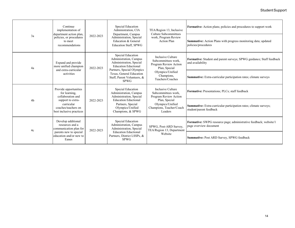| 3a | Continue<br>implementation of<br>department action plan,                                                                                                                                                                                                                                                                                                                                                                                                                                             | 2022-2023                                                                | Special Education<br>Administration, CIA<br>Department, Campus<br>Administration, Special<br>Education & General<br><b>Education Staff, SPWG</b> | TEA/Region 13, Inclusive<br>Culture Subcommittees<br>work, Program Review<br><b>Action Plan</b> | Formative: Action plans; policies and procedures to support work                             |
|----|------------------------------------------------------------------------------------------------------------------------------------------------------------------------------------------------------------------------------------------------------------------------------------------------------------------------------------------------------------------------------------------------------------------------------------------------------------------------------------------------------|--------------------------------------------------------------------------|--------------------------------------------------------------------------------------------------------------------------------------------------|-------------------------------------------------------------------------------------------------|----------------------------------------------------------------------------------------------|
|    | policies, or procedures<br>to meet<br>recommendations                                                                                                                                                                                                                                                                                                                                                                                                                                                |                                                                          |                                                                                                                                                  |                                                                                                 | <b>Summative:</b> Action Plans with progress monitoring data; updated<br>policies/procedures |
| 4a | Special Education<br>Inclusive Culture<br>Administration, Campus<br>Subcommittees work.<br>Administration, Special<br>Expand and provide<br><b>Education Eductional</b><br>more unified champion<br>2022-2023                                                                                                                                                                                                                                                                                        | Program Review Action<br>Plan, Special                                   | Formative: Student and parent surveys; SPWG guidance; Staff feedback<br>and availability                                                         |                                                                                                 |                                                                                              |
|    | and extra-curricular<br>activities                                                                                                                                                                                                                                                                                                                                                                                                                                                                   |                                                                          | Partners, Special Olympics<br>Texas, General Education<br>Staff, Parent Volunteers, &<br><b>SPWG</b>                                             | Olympics/Unified<br>Champions,<br>Teachers/Coaches                                              | Summative: Extra-curricular participation rates; climate surveys                             |
|    | Provide opportunities<br>Special Education<br>for learning,<br>Administration, Campus<br>collaboration and<br>Administration, Special<br><b>Education Eductional</b><br>4 <sub>b</sub><br>support to extra-<br>2022-2023<br>curricular<br>Partners, Special<br>coaches/teachers on<br>Olympics/Unified<br>best inclusive practices<br>Champions, & SPWG<br>Develop additional<br>Special Education<br>resources and a<br>Administration, Campus<br>communication plan for<br>Administration, Special |                                                                          |                                                                                                                                                  | Inclusive Culture<br>Subcommittees work.<br>Program Review Action                               | Formative: Presentations; PLCs; staff feedback                                               |
|    |                                                                                                                                                                                                                                                                                                                                                                                                                                                                                                      | Plan, Special<br>Olympics/Unified<br>Champions, Teacher/Coach<br>Leaders | Summative: Extra-curricular participation rates; climate surveys;<br>student/parent feedback                                                     |                                                                                                 |                                                                                              |
| 4c |                                                                                                                                                                                                                                                                                                                                                                                                                                                                                                      | 2022-2023                                                                |                                                                                                                                                  | SPWG, Post-ARD Survey,<br>TEA/Region 13, Department                                             | Formative: SWPG resource page; administrative feedback; website/1<br>page overview document  |
|    | parents new to special<br>education and/or new to<br>Eanes                                                                                                                                                                                                                                                                                                                                                                                                                                           |                                                                          | <b>Education Eductional</b><br>Partners, District LSSPs, &<br><b>SPWG</b>                                                                        | Website                                                                                         | Summative: Post ARD Survey, SPWG feedback                                                    |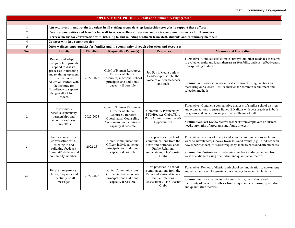| <b>OPERATIONAL PRIORITY: Staff and Community Engagement</b> |                                                                                                                                                          |                 |                                                                                                                       |                                                                                                                                                   |                                                                                                                                                                                                                                                                                                                                                                 |  |  |  |  |
|-------------------------------------------------------------|----------------------------------------------------------------------------------------------------------------------------------------------------------|-----------------|-----------------------------------------------------------------------------------------------------------------------|---------------------------------------------------------------------------------------------------------------------------------------------------|-----------------------------------------------------------------------------------------------------------------------------------------------------------------------------------------------------------------------------------------------------------------------------------------------------------------------------------------------------------------|--|--|--|--|
|                                                             |                                                                                                                                                          |                 |                                                                                                                       |                                                                                                                                                   |                                                                                                                                                                                                                                                                                                                                                                 |  |  |  |  |
| 1                                                           | Attract, invest in and retain top talent in all staffing areas; develop leadership strengths to support these efforts                                    |                 |                                                                                                                       |                                                                                                                                                   |                                                                                                                                                                                                                                                                                                                                                                 |  |  |  |  |
| $\boldsymbol{2}$                                            | Create opportunities and benefits for staff to access wellness programs and social-emotional resources for themselves                                    |                 |                                                                                                                       |                                                                                                                                                   |                                                                                                                                                                                                                                                                                                                                                                 |  |  |  |  |
| 3                                                           |                                                                                                                                                          |                 | Increase means for conversation with, listening to and soliciting feedback from staff, students and community members |                                                                                                                                                   |                                                                                                                                                                                                                                                                                                                                                                 |  |  |  |  |
| $\overline{\mathbf{4}}$                                     | <b>Connect with key constituencies</b>                                                                                                                   |                 |                                                                                                                       |                                                                                                                                                   |                                                                                                                                                                                                                                                                                                                                                                 |  |  |  |  |
| 5                                                           |                                                                                                                                                          |                 | Offer wellness opportunities for families and the community through education and resources                           |                                                                                                                                                   |                                                                                                                                                                                                                                                                                                                                                                 |  |  |  |  |
| Goal                                                        | <b>Activity</b>                                                                                                                                          | <b>Timeline</b> | <b>Responsible Person(s)</b>                                                                                          | <b>Resources</b>                                                                                                                                  | <b>Measure and Evaluation</b>                                                                                                                                                                                                                                                                                                                                   |  |  |  |  |
|                                                             | Review and adapt to<br>changing hiring trends<br>applied to district<br>processes inattracting                                                           |                 | Chief of Human Resources.                                                                                             | Job Fairs, Media outlets,<br>Leadership Institute, the<br>voice of our ownteachers<br>and staff                                                   | Formative: Conduct staff climate surveys and other feedback measures<br>to evaluate results and ideas, then assess feasibility and cost-effectiveness<br>of responding to data.                                                                                                                                                                                 |  |  |  |  |
|                                                             | and retaining top talent<br>in all areas of<br>education. Partner with<br>the Institute for<br>Excellence to support<br>the growth of future<br>leaders. | 2022-2023       | Director of Human<br>Resources, individual school<br>principals and additional<br>capacity if possible                |                                                                                                                                                   | Summative: Post-review of our past and current hiring practices and<br>measuring our success. Utilize metrics for common recruitment and<br>selection methods.                                                                                                                                                                                                  |  |  |  |  |
| $\overline{2}$                                              | Review district<br>benefits, community                                                                                                                   | 2022-2023       | Chief of Human Resources,<br>Director of Human<br>Resources, Benefits                                                 | Community Partnerships,<br>PTO/Booster Clubs, Third                                                                                               | Formative: Conduct a comparative analysis of similar school districts<br>and organizations to ensure Eanes ISD aligns with best practices in both<br>programs and content to support the wellbeing of staff.                                                                                                                                                    |  |  |  |  |
|                                                             | partnerships and<br>monthly wellness<br>newsletters.                                                                                                     |                 | Coordinator, Counseling<br>Coordinator and additional<br>capacity if possible                                         | Party Administrator Benefit<br>Opportunities                                                                                                      | Summative: Post-review receive feedback from employees on current<br>needs, strengths of programs and future interest.                                                                                                                                                                                                                                          |  |  |  |  |
| 3                                                           | Increase means for<br>conversation with,<br>listening to and<br>soliciting feedback<br>from staff, students and<br>community members                     | 2022-23         | Chief Communications<br>Officer; individual school<br>principals, and additional<br>capacity if possible              | Best practices in school<br>communications from the<br>Texas and National School<br><b>Public Relations</b><br>Associations, PTO/Booster<br>Clubs | Formative: Review of district and school communications including<br>website, newsletters, surveys, town halls and events (e.g., "CAFEs" with<br>new superintendent) to assess frequency, inclusiveness and effectiveness.<br>Summative: Post-review to determine feedback and engagement from<br>various audiences using qualitative and quantitative metrics. |  |  |  |  |
| 4a.                                                         | Ensure transparency,<br>clarity, frequency and<br>proactivity of all<br>messages                                                                         | 2022-2023       | <b>Chief Communications</b><br>Officer; individual school<br>principals, and additional<br>capacity if possible       | Best practices in school<br>communications from the<br>Texas and National School<br>Public Relations<br>Associations, PTO/Booster<br>Clubs        | Formative: Review of district and school communication to note unique<br>audiences and need for greater consistency, clarity and inclusivity.<br>Summative: Post-review to determine clarity, consistency and<br>inclusivity of content. Feedback from unique audiences using qualitative<br>and quantitative metrics.                                          |  |  |  |  |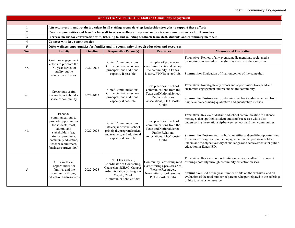| <b>OPERATIONAL PRIORITY: Staff and Community Engagement</b> |                                                                                                                             |                            |                                                                                                                                                                               |                                                                                                                                                                                                      |                                                                                                                                                                                                                                                    |  |  |  |  |
|-------------------------------------------------------------|-----------------------------------------------------------------------------------------------------------------------------|----------------------------|-------------------------------------------------------------------------------------------------------------------------------------------------------------------------------|------------------------------------------------------------------------------------------------------------------------------------------------------------------------------------------------------|----------------------------------------------------------------------------------------------------------------------------------------------------------------------------------------------------------------------------------------------------|--|--|--|--|
|                                                             |                                                                                                                             |                            |                                                                                                                                                                               |                                                                                                                                                                                                      |                                                                                                                                                                                                                                                    |  |  |  |  |
| 1                                                           | Attract, invest in and retain top talent in all staffing areas; develop leadership strengths to support these efforts       |                            |                                                                                                                                                                               |                                                                                                                                                                                                      |                                                                                                                                                                                                                                                    |  |  |  |  |
| $\overline{2}$                                              | Create opportunities and benefits for staff to access wellness programs and social-emotional resources for themselves       |                            |                                                                                                                                                                               |                                                                                                                                                                                                      |                                                                                                                                                                                                                                                    |  |  |  |  |
| $\overline{\mathbf{3}}$                                     |                                                                                                                             |                            |                                                                                                                                                                               | Increase means for conversation with, listening to and soliciting feedback from staff, students and community members                                                                                |                                                                                                                                                                                                                                                    |  |  |  |  |
| $\overline{\mathbf{4}}$                                     | <b>Connect with key constituencies</b>                                                                                      |                            |                                                                                                                                                                               |                                                                                                                                                                                                      |                                                                                                                                                                                                                                                    |  |  |  |  |
| 5                                                           |                                                                                                                             |                            | Offer wellness opportunities for families and the community through education and resources                                                                                   |                                                                                                                                                                                                      |                                                                                                                                                                                                                                                    |  |  |  |  |
| Goal                                                        | <b>Activity</b>                                                                                                             | <b>Timeline</b>            | <b>Responsible Person(s)</b>                                                                                                                                                  | <b>Resources</b>                                                                                                                                                                                     | <b>Measure and Evaluation</b>                                                                                                                                                                                                                      |  |  |  |  |
|                                                             | Continue engagement<br>efforts to promote the                                                                               |                            | <b>Chief Communications</b>                                                                                                                                                   | Examples of projects or<br>events to educate and engage<br>Officer; individual school<br>the community in Eanes'<br>principals, and additional<br>history, PTO/Booster Clubs<br>capacity if possible | Formative: Review of any events, media mentions, social media<br>promotions, increased partnerships as a result of the campaign.                                                                                                                   |  |  |  |  |
| 4b.                                                         | 150-year legacy of<br>quality public<br>education in Eanes                                                                  | 2022-2023                  |                                                                                                                                                                               |                                                                                                                                                                                                      | Summative: Evaluation of final outcomes of the campaign.                                                                                                                                                                                           |  |  |  |  |
|                                                             | Create purposeful                                                                                                           |                            | <b>Chief Communications</b>                                                                                                                                                   | Best practices in school<br>communications from the                                                                                                                                                  | Formative: Investigate any events and opportunities to expand and<br>customize engagement and reconnect the community.                                                                                                                             |  |  |  |  |
| 4c.                                                         | connections to build a<br>sense of community                                                                                | 2022-2023                  | Officer; individual school<br>principals, and additional<br>capacity if possible                                                                                              | Texas and National School<br><b>Public Relations</b><br>Associations, PTO/Booster<br>Clubs                                                                                                           | Summative: Post-review to determine feedback and engagement from<br>unique audiences using qualitative and quantitative metrics.                                                                                                                   |  |  |  |  |
|                                                             | Enhance<br>communications to<br>promote opportunities<br>for students, staff,<br>alumni and                                 |                            | <b>Chief Communications</b><br>Officer; individual school<br>Texas and National School<br>principals, program leaders<br>and teachers, and additional<br>capacity if possible | Best practices in school<br>communications from the                                                                                                                                                  | <b>Formative:</b> Review of district and school communication to enhance<br>messages that spotlight student and staff successes while also<br>underscoring the relationship between schools and their communities.                                 |  |  |  |  |
| 4d.                                                         | stakeholders (e.g.<br>student programs,<br>community education,<br>teacher recruitment,<br>business partnerships)           | 2022-2023                  |                                                                                                                                                                               | <b>Public Relations</b><br>Associations, PTO/Booster<br>Clubs                                                                                                                                        | Summative: Post-review that both quantifies and qualifies opportunities<br>for news coverage and public engagement that helped stakeholders<br>understand the objective story of challenges and achievements for public<br>education in Eanes ISD. |  |  |  |  |
|                                                             | Chief HR Officer,<br>Offer wellness<br>opportunities for                                                                    | Coordinator of Counseling, | Community Partnerships and<br>class offering, Speaker Series,                                                                                                                 | Formative: Review of opportunities to enhance and build on current<br>offerings possibly through community education classes.                                                                        |                                                                                                                                                                                                                                                    |  |  |  |  |
| 5                                                           | Counselors, SSHAC, Campus<br>families and the<br>2022-2023<br>community through<br>Coord., Chief<br>education and resources |                            | Administration or Program<br>Communications Officer                                                                                                                           | Website Resources,<br>Newsletters, Book Studies,<br>PTO/Booster Clubs                                                                                                                                | Summative: End of the year number of hits on the websites, and an<br>evaluation of the total number of parents who participated in the offerings<br>or hits to a website resource.                                                                 |  |  |  |  |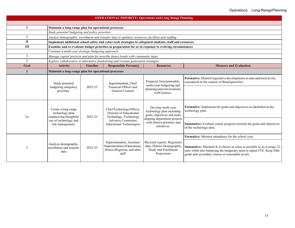| <b>OPERATIONAL PRIORITY: Operations and Long Range Planning</b> |                                                                                                               |                 |                                                                                                                                          |                                                                                                                                                                |                                                                                                                                                                                                                                     |  |  |  |
|-----------------------------------------------------------------|---------------------------------------------------------------------------------------------------------------|-----------------|------------------------------------------------------------------------------------------------------------------------------------------|----------------------------------------------------------------------------------------------------------------------------------------------------------------|-------------------------------------------------------------------------------------------------------------------------------------------------------------------------------------------------------------------------------------|--|--|--|
|                                                                 |                                                                                                               |                 |                                                                                                                                          |                                                                                                                                                                |                                                                                                                                                                                                                                     |  |  |  |
| L                                                               | Maintain a long-range plan for operational processes                                                          |                 |                                                                                                                                          |                                                                                                                                                                |                                                                                                                                                                                                                                     |  |  |  |
|                                                                 | Study potential budgeting and policy priorities                                                               |                 |                                                                                                                                          |                                                                                                                                                                |                                                                                                                                                                                                                                     |  |  |  |
| $\overline{2}$                                                  |                                                                                                               |                 | Analyze demographic, enrollment and transfer data to optimize resources, facilities and staffing                                         |                                                                                                                                                                |                                                                                                                                                                                                                                     |  |  |  |
| $\mathbf{I}$                                                    |                                                                                                               |                 | Implement additional school safety and cyber-tech strategies to safeguard students, staff and resources                                  |                                                                                                                                                                |                                                                                                                                                                                                                                     |  |  |  |
| Ш                                                               |                                                                                                               |                 | Examine and re-evaluate budget priorities in preparation for or in response to evolving circumstances                                    |                                                                                                                                                                |                                                                                                                                                                                                                                     |  |  |  |
|                                                                 | Continue a multi-year strategic budgeting approach                                                            |                 |                                                                                                                                          |                                                                                                                                                                |                                                                                                                                                                                                                                     |  |  |  |
| $\overline{c}$                                                  |                                                                                                               |                 | Manage capital pro}ects and plan for possible future bonds with community input                                                          |                                                                                                                                                                |                                                                                                                                                                                                                                     |  |  |  |
| $\overline{3}$                                                  |                                                                                                               |                 | Explore collaborative or alternative fundraising and revenue generation strategies                                                       |                                                                                                                                                                |                                                                                                                                                                                                                                     |  |  |  |
| Goal                                                            | <b>Activity</b>                                                                                               | <b>Timeline</b> | <b>Responsible Person(s)</b>                                                                                                             | <b>Resources</b>                                                                                                                                               | <b>Measure and Evaluation</b>                                                                                                                                                                                                       |  |  |  |
| п                                                               | Maintain a long-range plan for operational processes                                                          |                 |                                                                                                                                          |                                                                                                                                                                |                                                                                                                                                                                                                                     |  |  |  |
|                                                                 | Study potential<br>budgeting and policy<br>priorities.                                                        | 2022-23         | Superintendent, Chief<br>Financial Officer and<br>General Counsel                                                                        | Financial forecastmodels,<br>multi-year budgeting and<br>planning and conversations<br>with trustees.                                                          | Formative: Monitor legislative developments at state and local levels,<br>considered in the context of Board priorities.                                                                                                            |  |  |  |
| I.a                                                             | Create a long range<br>technology plan<br>emphasizing thoughtful<br>use of technology and<br>risk management. | 2022-23         | ChiefTechnology Officer,<br>Director of Educational<br>Technology, Technology<br>Advisory Committee,<br><b>Educational Technologists</b> | Develop multi-year<br>technology plan including<br>goals, objectives and tasks<br>aligning department projects<br>with district priorities and<br>initiatives. | <b>Formative:</b> Implement the goals and objectives as identified in the<br>technology plan.<br>Summative: Evaluate yearly progress towards the goals and objectives                                                               |  |  |  |
| $\overline{2}$                                                  | Analyze demographic,<br>enrollment and transfer<br>data                                                       | 2022-23         | Superintendent, Assistant<br>Superintedent of Operations,<br>District Registrar, and other<br>staff                                      | Skyward reports, Registrars'<br>data, District Demographic<br>Study and Enrollment<br>Projections                                                              | of the technology plan.<br>Formative: Monitor attendance for the school year.<br>Summative: Maintain K-4 classes as close as possible to an average 22:<br>ratio while also balancing the budgetary need to adjust FTE. Keep fifth- |  |  |  |
|                                                                 |                                                                                                               |                 |                                                                                                                                          |                                                                                                                                                                | grade and secondary classes at reasonable levels.                                                                                                                                                                                   |  |  |  |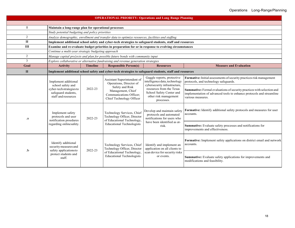| <b>OPERATIONAL PRIORITY: Operations and Long Range Planning</b>                                                          |                                                                        |                                                                |                                                                                                                              |                                                                                                                |                                                                                                                                                                     |  |  |  |
|--------------------------------------------------------------------------------------------------------------------------|------------------------------------------------------------------------|----------------------------------------------------------------|------------------------------------------------------------------------------------------------------------------------------|----------------------------------------------------------------------------------------------------------------|---------------------------------------------------------------------------------------------------------------------------------------------------------------------|--|--|--|
|                                                                                                                          |                                                                        |                                                                |                                                                                                                              |                                                                                                                |                                                                                                                                                                     |  |  |  |
|                                                                                                                          | Maintain a long-range plan for operational processes                   |                                                                |                                                                                                                              |                                                                                                                |                                                                                                                                                                     |  |  |  |
|                                                                                                                          | Study potential budgeting and policy priorities                        |                                                                |                                                                                                                              |                                                                                                                |                                                                                                                                                                     |  |  |  |
| $\overline{2}$                                                                                                           |                                                                        |                                                                | Analyze demographic, enrollment and transfer data to optimize resources, facilities and staffing                             |                                                                                                                |                                                                                                                                                                     |  |  |  |
| $\mathbf{I}$                                                                                                             |                                                                        |                                                                | Implement additional school safety and cyber-tech strategies to safeguard students, staff and resources                      |                                                                                                                |                                                                                                                                                                     |  |  |  |
| Ш                                                                                                                        |                                                                        |                                                                | Examine and re-evaluate budget priorities in preparation for or in response to evolving circumstances                        |                                                                                                                |                                                                                                                                                                     |  |  |  |
|                                                                                                                          | Continue a multi-year strategic budgeting approach                     |                                                                |                                                                                                                              |                                                                                                                |                                                                                                                                                                     |  |  |  |
| $\overline{c}$                                                                                                           |                                                                        |                                                                | Manage capital pro}ects and plan for possible future bonds with community input                                              |                                                                                                                |                                                                                                                                                                     |  |  |  |
| $\overline{3}$                                                                                                           |                                                                        |                                                                | Explore collaborative or alternative fundraising and revenue generation strategies                                           |                                                                                                                |                                                                                                                                                                     |  |  |  |
| Goal                                                                                                                     | <b>Activity</b>                                                        | <b>Timeline</b>                                                | <b>Responsible Person(s)</b>                                                                                                 | <b>Resources</b>                                                                                               | <b>Measure and Evaluation</b>                                                                                                                                       |  |  |  |
| $\mathbf{I}$                                                                                                             |                                                                        |                                                                | Implement additional school safety and cyber-tech strategies to safeguard students, staff and resources                      |                                                                                                                |                                                                                                                                                                     |  |  |  |
|                                                                                                                          | Implement additional<br>school safety and                              |                                                                | Assistant Superintendent of<br>Operations, Director of                                                                       | Gaggle reports, protective<br>intelligence data, technology<br>cybersecurity infrastructure,                   | Formative: Initial assessments of security practices risk management<br>protocols, and technology safeguards.                                                       |  |  |  |
|                                                                                                                          | cyber-tech strategies to<br>safeguard students,<br>staff and resources | 2022-23                                                        | Management, Chief<br>Communications Officer:<br>Chief Technology Officer                                                     | Safety and Risk<br>resources from the Texas<br>School Safety Center and<br>other risk management<br>processes. | Summative: Formal evaluations of security practices with selection and<br>implementation of advanced tools to enhance protocols and streamline<br>various measures. |  |  |  |
| .a                                                                                                                       | Implement safety<br>protocols and user<br>notification proedures       | 2022-23                                                        | Technology Services, Chief<br>Technology Officer, Director<br>of Educational Technology,<br><b>Educational Technologists</b> | Develop and maintain safety<br>protocols and automated<br>notifications for users who                          | Formative: Identify additional safety protocols and measures for user<br>accounts.                                                                                  |  |  |  |
|                                                                                                                          | regarding onlinesafety.                                                |                                                                |                                                                                                                              | have been identified as at-<br>risk.                                                                           | Summative: Evaluate safety processes and notifications for<br>improvements and effectiveness.                                                                       |  |  |  |
| Identify additional<br>security measures and<br>2022-23<br>safety applicationsto<br>.b<br>protect students and<br>staff. | Technology Services, Chief<br>Technology Officer, Director             | Identify and implement an<br>application on all clients to     | Formative: Implement safety applications on district email and network<br>accounts.                                          |                                                                                                                |                                                                                                                                                                     |  |  |  |
|                                                                                                                          |                                                                        | of Educational Technology,<br><b>Educational Technologists</b> | scan device for security risks<br>or events.                                                                                 | Summative: Evaluate safety applications for improvements and<br>modifications and feasibility.                 |                                                                                                                                                                     |  |  |  |